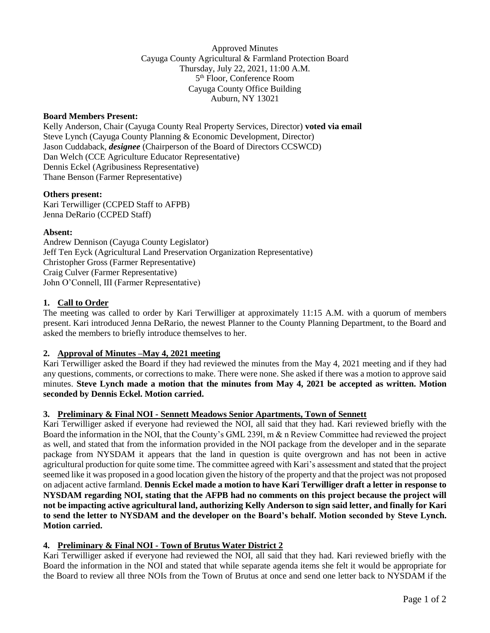Approved Minutes Cayuga County Agricultural & Farmland Protection Board Thursday, July 22, 2021, 11:00 A.M. 5 th Floor, Conference Room Cayuga County Office Building Auburn, NY 13021

### **Board Members Present:**

Kelly Anderson, Chair (Cayuga County Real Property Services, Director) **voted via email** Steve Lynch (Cayuga County Planning & Economic Development, Director) Jason Cuddaback, *designee* (Chairperson of the Board of Directors CCSWCD) Dan Welch (CCE Agriculture Educator Representative) Dennis Eckel (Agribusiness Representative) Thane Benson (Farmer Representative)

### **Others present:**

Kari Terwilliger (CCPED Staff to AFPB) Jenna DeRario (CCPED Staff)

### **Absent:**

Andrew Dennison (Cayuga County Legislator) Jeff Ten Eyck (Agricultural Land Preservation Organization Representative) Christopher Gross (Farmer Representative) Craig Culver (Farmer Representative) John O'Connell, III (Farmer Representative)

# **1. Call to Order**

The meeting was called to order by Kari Terwilliger at approximately 11:15 A.M. with a quorum of members present. Kari introduced Jenna DeRario, the newest Planner to the County Planning Department, to the Board and asked the members to briefly introduce themselves to her.

# **2. Approval of Minutes –May 4, 2021 meeting**

Kari Terwilliger asked the Board if they had reviewed the minutes from the May 4, 2021 meeting and if they had any questions, comments, or corrections to make. There were none. She asked if there was a motion to approve said minutes. **Steve Lynch made a motion that the minutes from May 4, 2021 be accepted as written. Motion seconded by Dennis Eckel. Motion carried.**

#### **3. Preliminary & Final NOI - Sennett Meadows Senior Apartments, Town of Sennett**

Kari Terwilliger asked if everyone had reviewed the NOI, all said that they had. Kari reviewed briefly with the Board the information in the NOI, that the County's GML 239l, m & n Review Committee had reviewed the project as well, and stated that from the information provided in the NOI package from the developer and in the separate package from NYSDAM it appears that the land in question is quite overgrown and has not been in active agricultural production for quite some time. The committee agreed with Kari's assessment and stated that the project seemed like it was proposed in a good location given the history of the property and that the project was not proposed on adjacent active farmland. **Dennis Eckel made a motion to have Kari Terwilliger draft a letter in response to NYSDAM regarding NOI, stating that the AFPB had no comments on this project because the project will not be impacting active agricultural land, authorizing Kelly Anderson to sign said letter, and finally for Kari to send the letter to NYSDAM and the developer on the Board's behalf. Motion seconded by Steve Lynch. Motion carried.**

#### **4. Preliminary & Final NOI - Town of Brutus Water District 2**

Kari Terwilliger asked if everyone had reviewed the NOI, all said that they had. Kari reviewed briefly with the Board the information in the NOI and stated that while separate agenda items she felt it would be appropriate for the Board to review all three NOIs from the Town of Brutus at once and send one letter back to NYSDAM if the